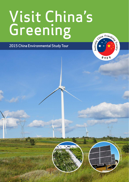# Visit China's Greening

2015 China Environmental Study Tour



OMicky Rootes

 $\alpha$ rapਵ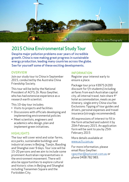

## 2015 China Environmental Study Tour

Despite major pollution problems over years of incredible growth. China is now making great progress in sustainable energy production, leading many countries across the globe. See for yourself some of these exciting developments.

### **OVERVIEW**

Join our study tour to China in September 2015, conducted by the Australia China Friendship Society.

This tour will be led by the National President of ACFS, Dr. Ross Gwyther, who has had extensive experience as a research earth scientist.

This 10-day tour includes:

- Visits to projects and facilities
- Discussions with officials developing and implementing environmental policies
- Meet scientists, engineers and academics who design, plan and implement green initiatives.

### **HIGHLIGHTS**

The tour will cover wind and solar farms, eco parks, sustainable buildings and industrial zones in Beijing, Tianjin, Baoding and Shanghai over 9 days. Tour size will be 15-20 persons and we aim to include some prominent Australian representatives in the environment movement. There will also be opportunities to explore cultural and historic sites in Beijing and Shanghai including Tiananmen Square and the Forbidden City.

### INFORMATION

Register your interest early to ensure a place.

Package tour price \$3975 (\$200 discount for f/t students) including airfares from each Australian capital city, all internal travel, twin share 4\* hotel accommodation, meals as per itinerary, single entry China visa fee. Exclusions: Tipping of tour guides and drivers, personal expenses and travel insurance (strongly recommended).

All expressions of interest to fill in the form attached and submit it by 20th February 2015. An application form will be sent to you by 25th February 2015

More details available at www.a[cfs.com.au](http://www.acfs.com.au)

For more information, please email Ross Gwyther: [rgwyther@optusnet.com.au](mailto:rgwyther%40optusnet.com.au?subject=) or phone 0408 782 983.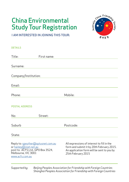# China Environmental Environmental<br>Study Tour Registration



I AM INTERESTED IN JOINING THIS TOUR:

| <b>DETAILS</b>                                                                                                                              |             |                                                                                                                                                             |
|---------------------------------------------------------------------------------------------------------------------------------------------|-------------|-------------------------------------------------------------------------------------------------------------------------------------------------------------|
| Title:                                                                                                                                      | First name: |                                                                                                                                                             |
| Surname:                                                                                                                                    |             |                                                                                                                                                             |
| Company/Institution:                                                                                                                        |             |                                                                                                                                                             |
| Email:                                                                                                                                      |             |                                                                                                                                                             |
| Phone:                                                                                                                                      |             | Mobile:                                                                                                                                                     |
| <b>POSTAL ADDRESS</b>                                                                                                                       |             |                                                                                                                                                             |
| No:                                                                                                                                         | Street:     |                                                                                                                                                             |
| Suburb                                                                                                                                      |             | Postcode:                                                                                                                                                   |
| State:                                                                                                                                      |             |                                                                                                                                                             |
| Reply to: rgwyther@optusnet.com.au<br>or hanley@iinet.net.au<br>post to: ACFS Ltd., GPO Box 3524,<br>Melbourne, VIC 3001<br>www.acfs.com.au |             | All expressions of interest to fill in the<br>form and submit it by 20th February 2015.<br>An application form will be sent to you by<br>25th February 2015 |

*Supported by: Beijing Peoples Association for Friendship with Foreign Countries Shanghai Peoples Association for Friendship with Foreign Countries*